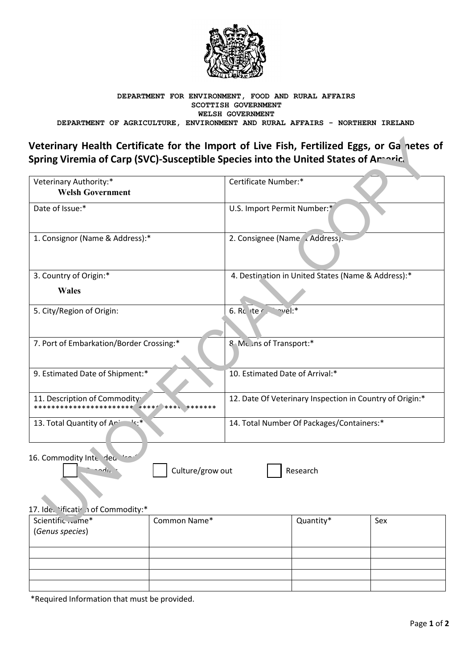

#### DEPARTMENT FOR ENVIRONMENT, FOOD AND RURAL AFFAIRS SCOTTISH GOVERNMENT WELSH GOVERNMENT DEPARTMENT OF AGRICULTURE, ENVIRONMENT AND RURAL AFFAIRS - NORTHERN IRELAND

# Veterinary Health Certificate for the Import of Live Fish, Fertilized Eggs, or Ganetes of Spring Viremia of Carp (SVC)-Susceptible Species into the United States of Amaric.

| Veterinary Authority:*<br><b>Welsh Government</b> | Certificate Number:*                                     |
|---------------------------------------------------|----------------------------------------------------------|
| Date of Issue:*                                   | U.S. Import Permit Number:*                              |
| 1. Consignor (Name & Address):*                   | 2. Consignee (Name / Address).                           |
| 3. Country of Origin:*                            | 4. Destination in United States (Name & Address):*       |
| <b>Wales</b>                                      |                                                          |
| 5. City/Region of Origin:                         | 6. Rc $ter$<br>$\neg$ vel:*                              |
| 7. Port of Embarkation/Border Crossing:*          | 8 ML ns of Transport:*                                   |
| 9. Estimated Date of Shipment:*                   | 10. Estimated Date of Arrival:*                          |
| 11. Description of Commodity <sup>.</sup>         | 12. Date Of Veterinary Inspection in Country of Origin:* |
| اد∙∗<br>13. Total Quantity of Ani                 | 14. Total Number Of Packages/Containers:*                |

16. Commodity Inte dec 's

Culture/grow out

Research

# 17. Ide. 'ificatir i of Commodity:\*

⊾طانہ

| Scientific ame*<br>(Genus species) | Common Name* | Quantity* | Sex |
|------------------------------------|--------------|-----------|-----|
|                                    |              |           |     |
|                                    |              |           |     |
|                                    |              |           |     |
|                                    |              |           |     |

\*Required Information that must be provided.